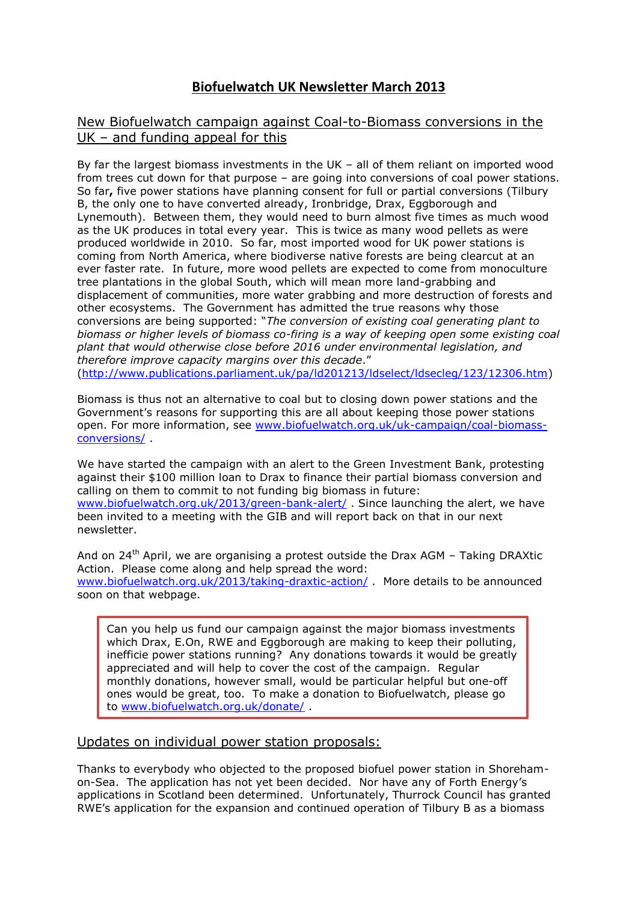# **Biofuelwatch UK Newsletter March 2013**

## New Biofuelwatch campaign against Coal-to-Biomass conversions in the UK – and funding appeal for this

By far the largest biomass investments in the UK – all of them reliant on imported wood from trees cut down for that purpose – are going into conversions of coal power stations. So far**,** five power stations have planning consent for full or partial conversions (Tilbury B, the only one to have converted already, Ironbridge, Drax, Eggborough and Lynemouth). Between them, they would need to burn almost five times as much wood as the UK produces in total every year. This is twice as many wood pellets as were produced worldwide in 2010. So far, most imported wood for UK power stations is coming from North America, where biodiverse native forests are being clearcut at an ever faster rate. In future, more wood pellets are expected to come from monoculture tree plantations in the global South, which will mean more land-grabbing and displacement of communities, more water grabbing and more destruction of forests and other ecosystems. The Government has admitted the true reasons why those conversions are being supported: "*The conversion of existing coal generating plant to biomass or higher levels of biomass co-firing is a way of keeping open some existing coal plant that would otherwise close before 2016 under environmental legislation, and therefore improve capacity margins over this decade*."

[\(http://www.publications.parliament.uk/pa/ld201213/ldselect/ldsecleg/123/12306.htm\)](http://www.publications.parliament.uk/pa/ld201213/ldselect/ldsecleg/123/12306.htm)

Biomass is thus not an alternative to coal but to closing down power stations and the Government's reasons for supporting this are all about keeping those power stations open. For more information, see [www.biofuelwatch.org.uk/uk-campaign/coal-biomass](http://www.biofuelwatch.org.uk/uk-campaign/coal-biomass-conversions/)[conversions/](http://www.biofuelwatch.org.uk/uk-campaign/coal-biomass-conversions/) .

We have started the campaign with an alert to the Green Investment Bank, protesting against their \$100 million loan to Drax to finance their partial biomass conversion and calling on them to commit to not funding big biomass in future: [www.biofuelwatch.org.uk/2013/green-bank-alert/](http://www.biofuelwatch.org.uk/2013/green-bank-alert/) . Since launching the alert, we have been invited to a meeting with the GIB and will report back on that in our next newsletter.

And on 24<sup>th</sup> April, we are organising a protest outside the Drax AGM – Taking DRAXtic Action. Please come along and help spread the word: [www.biofuelwatch.org.uk/2013/taking-draxtic-action/](http://www.biofuelwatch.org.uk/2013/taking-draxtic-action/) . More details to be announced soon on that webpage.

Can you help us fund our campaign against the major biomass investments which Drax, E.On, RWE and Eggborough are making to keep their polluting, inefficie power stations running? Any donations towards it would be greatly appreciated and will help to cover the cost of the campaign. Regular monthly donations, however small, would be particular helpful but one-off ones would be great, too. To make a donation to Biofuelwatch, please go to [www.biofuelwatch.org.uk/donate/](http://www.biofuelwatch.org.uk/donate/) .

## Updates on individual power station proposals:

Thanks to everybody who objected to the proposed biofuel power station in Shorehamon-Sea. The application has not yet been decided. Nor have any of Forth Energy's applications in Scotland been determined. Unfortunately, Thurrock Council has granted RWE's application for the expansion and continued operation of Tilbury B as a biomass